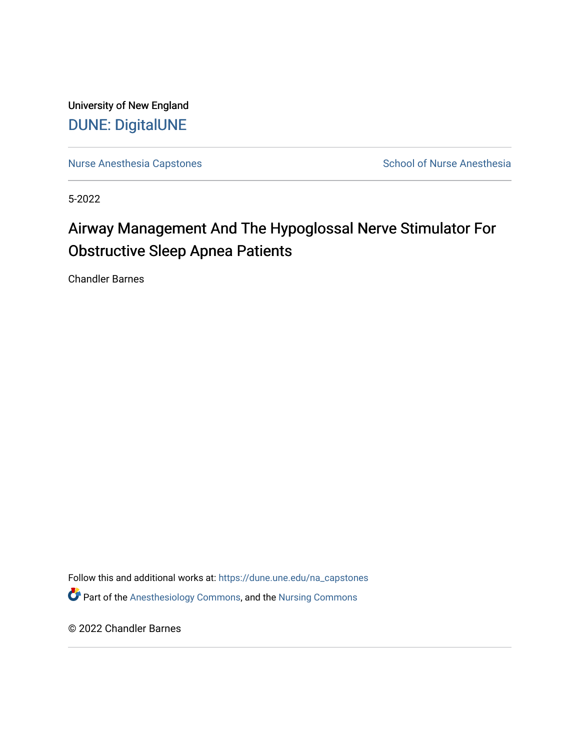University of New England [DUNE: DigitalUNE](https://dune.une.edu/) 

[Nurse Anesthesia Capstones](https://dune.une.edu/na_capstones) School of Nurse Anesthesia

5-2022

# Airway Management And The Hypoglossal Nerve Stimulator For Obstructive Sleep Apnea Patients

Chandler Barnes

Follow this and additional works at: [https://dune.une.edu/na\\_capstones](https://dune.une.edu/na_capstones?utm_source=dune.une.edu%2Fna_capstones%2F42&utm_medium=PDF&utm_campaign=PDFCoverPages) Part of the [Anesthesiology Commons](https://network.bepress.com/hgg/discipline/682?utm_source=dune.une.edu%2Fna_capstones%2F42&utm_medium=PDF&utm_campaign=PDFCoverPages), and the [Nursing Commons](https://network.bepress.com/hgg/discipline/718?utm_source=dune.une.edu%2Fna_capstones%2F42&utm_medium=PDF&utm_campaign=PDFCoverPages) 

© 2022 Chandler Barnes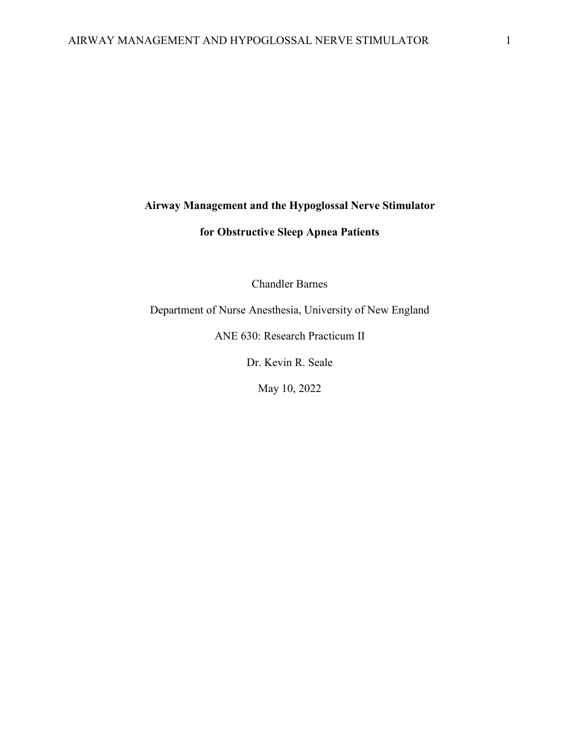### **Airway Management and the Hypoglossal Nerve Stimulator**

## **for Obstructive Sleep Apnea Patients**

Chandler Barnes

Department of Nurse Anesthesia, University of New England

ANE 630: Research Practicum II

Dr. Kevin R. Seale

May 10, 2022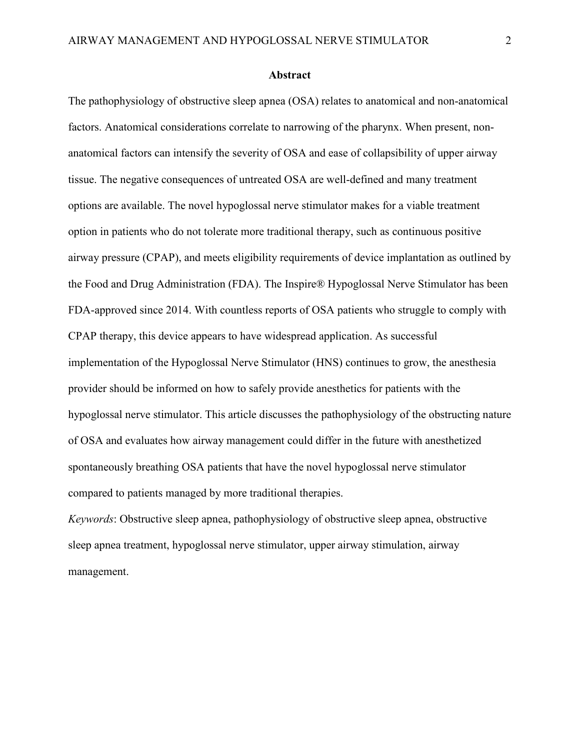#### **Abstract**

The pathophysiology of obstructive sleep apnea (OSA) relates to anatomical and non-anatomical factors. Anatomical considerations correlate to narrowing of the pharynx. When present, nonanatomical factors can intensify the severity of OSA and ease of collapsibility of upper airway tissue. The negative consequences of untreated OSA are well-defined and many treatment options are available. The novel hypoglossal nerve stimulator makes for a viable treatment option in patients who do not tolerate more traditional therapy, such as continuous positive airway pressure (CPAP), and meets eligibility requirements of device implantation as outlined by the Food and Drug Administration (FDA). The Inspire® Hypoglossal Nerve Stimulator has been FDA-approved since 2014. With countless reports of OSA patients who struggle to comply with CPAP therapy, this device appears to have widespread application. As successful implementation of the Hypoglossal Nerve Stimulator (HNS) continues to grow, the anesthesia provider should be informed on how to safely provide anesthetics for patients with the hypoglossal nerve stimulator. This article discusses the pathophysiology of the obstructing nature of OSA and evaluates how airway management could differ in the future with anesthetized spontaneously breathing OSA patients that have the novel hypoglossal nerve stimulator compared to patients managed by more traditional therapies.

*Keywords*: Obstructive sleep apnea, pathophysiology of obstructive sleep apnea, obstructive sleep apnea treatment, hypoglossal nerve stimulator, upper airway stimulation, airway management.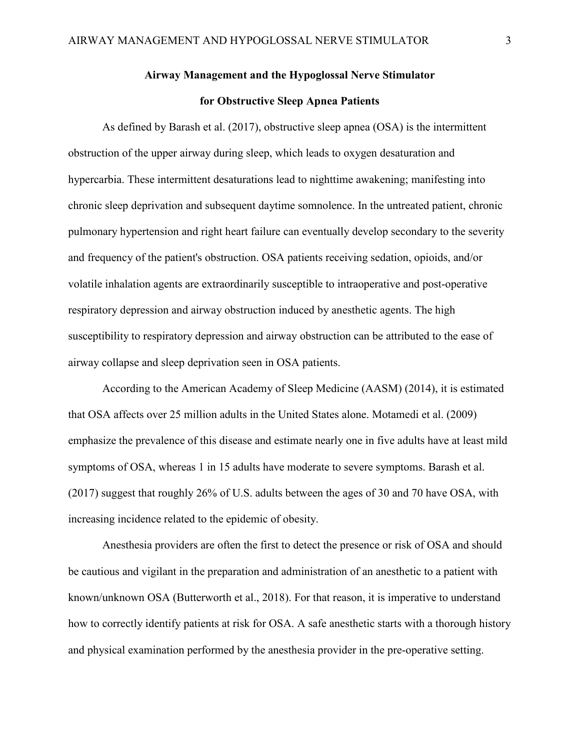## **Airway Management and the Hypoglossal Nerve Stimulator for Obstructive Sleep Apnea Patients**

As defined by Barash et al. (2017), obstructive sleep apnea (OSA) is the intermittent obstruction of the upper airway during sleep, which leads to oxygen desaturation and hypercarbia. These intermittent desaturations lead to nighttime awakening; manifesting into chronic sleep deprivation and subsequent daytime somnolence. In the untreated patient, chronic pulmonary hypertension and right heart failure can eventually develop secondary to the severity and frequency of the patient's obstruction. OSA patients receiving sedation, opioids, and/or volatile inhalation agents are extraordinarily susceptible to intraoperative and post-operative respiratory depression and airway obstruction induced by anesthetic agents. The high susceptibility to respiratory depression and airway obstruction can be attributed to the ease of airway collapse and sleep deprivation seen in OSA patients.

According to the American Academy of Sleep Medicine (AASM) (2014), it is estimated that OSA affects over 25 million adults in the United States alone. Motamedi et al. (2009) emphasize the prevalence of this disease and estimate nearly one in five adults have at least mild symptoms of OSA, whereas 1 in 15 adults have moderate to severe symptoms. Barash et al. (2017) suggest that roughly 26% of U.S. adults between the ages of 30 and 70 have OSA, with increasing incidence related to the epidemic of obesity.

Anesthesia providers are often the first to detect the presence or risk of OSA and should be cautious and vigilant in the preparation and administration of an anesthetic to a patient with known/unknown OSA (Butterworth et al., 2018). For that reason, it is imperative to understand how to correctly identify patients at risk for OSA. A safe anesthetic starts with a thorough history and physical examination performed by the anesthesia provider in the pre-operative setting.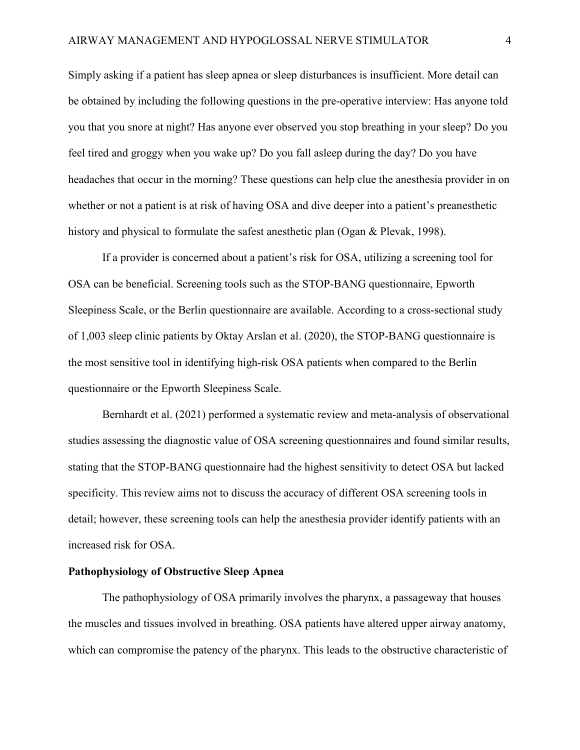Simply asking if a patient has sleep apnea or sleep disturbances is insufficient. More detail can be obtained by including the following questions in the pre-operative interview: Has anyone told you that you snore at night? Has anyone ever observed you stop breathing in your sleep? Do you feel tired and groggy when you wake up? Do you fall asleep during the day? Do you have headaches that occur in the morning? These questions can help clue the anesthesia provider in on whether or not a patient is at risk of having OSA and dive deeper into a patient's preanesthetic history and physical to formulate the safest anesthetic plan (Ogan & Plevak, 1998).

If a provider is concerned about a patient's risk for OSA, utilizing a screening tool for OSA can be beneficial. Screening tools such as the STOP-BANG questionnaire, Epworth Sleepiness Scale, or the Berlin questionnaire are available. According to a cross-sectional study of 1,003 sleep clinic patients by Oktay Arslan et al. (2020), the STOP-BANG questionnaire is the most sensitive tool in identifying high-risk OSA patients when compared to the Berlin questionnaire or the Epworth Sleepiness Scale.

Bernhardt et al. (2021) performed a systematic review and meta-analysis of observational studies assessing the diagnostic value of OSA screening questionnaires and found similar results, stating that the STOP-BANG questionnaire had the highest sensitivity to detect OSA but lacked specificity. This review aims not to discuss the accuracy of different OSA screening tools in detail; however, these screening tools can help the anesthesia provider identify patients with an increased risk for OSA.

#### **Pathophysiology of Obstructive Sleep Apnea**

The pathophysiology of OSA primarily involves the pharynx, a passageway that houses the muscles and tissues involved in breathing. OSA patients have altered upper airway anatomy, which can compromise the patency of the pharynx. This leads to the obstructive characteristic of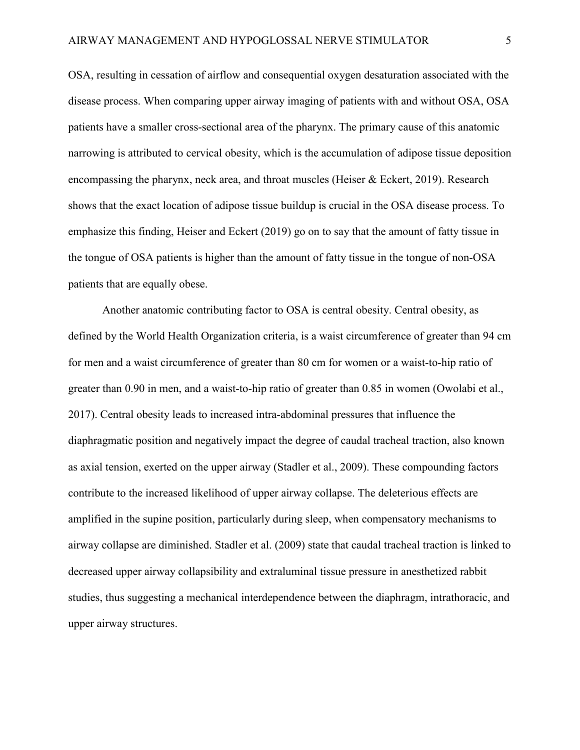OSA, resulting in cessation of airflow and consequential oxygen desaturation associated with the disease process. When comparing upper airway imaging of patients with and without OSA, OSA patients have a smaller cross-sectional area of the pharynx. The primary cause of this anatomic narrowing is attributed to cervical obesity, which is the accumulation of adipose tissue deposition encompassing the pharynx, neck area, and throat muscles (Heiser & Eckert, 2019). Research shows that the exact location of adipose tissue buildup is crucial in the OSA disease process. To emphasize this finding, Heiser and Eckert (2019) go on to say that the amount of fatty tissue in the tongue of OSA patients is higher than the amount of fatty tissue in the tongue of non-OSA patients that are equally obese.

Another anatomic contributing factor to OSA is central obesity. Central obesity, as defined by the World Health Organization criteria, is a waist circumference of greater than 94 cm for men and a waist circumference of greater than 80 cm for women or a waist-to-hip ratio of greater than 0.90 in men, and a waist-to-hip ratio of greater than 0.85 in women (Owolabi et al., 2017). Central obesity leads to increased intra-abdominal pressures that influence the diaphragmatic position and negatively impact the degree of caudal tracheal traction, also known as axial tension, exerted on the upper airway (Stadler et al., 2009). These compounding factors contribute to the increased likelihood of upper airway collapse. The deleterious effects are amplified in the supine position, particularly during sleep, when compensatory mechanisms to airway collapse are diminished. Stadler et al. (2009) state that caudal tracheal traction is linked to decreased upper airway collapsibility and extraluminal tissue pressure in anesthetized rabbit studies, thus suggesting a mechanical interdependence between the diaphragm, intrathoracic, and upper airway structures.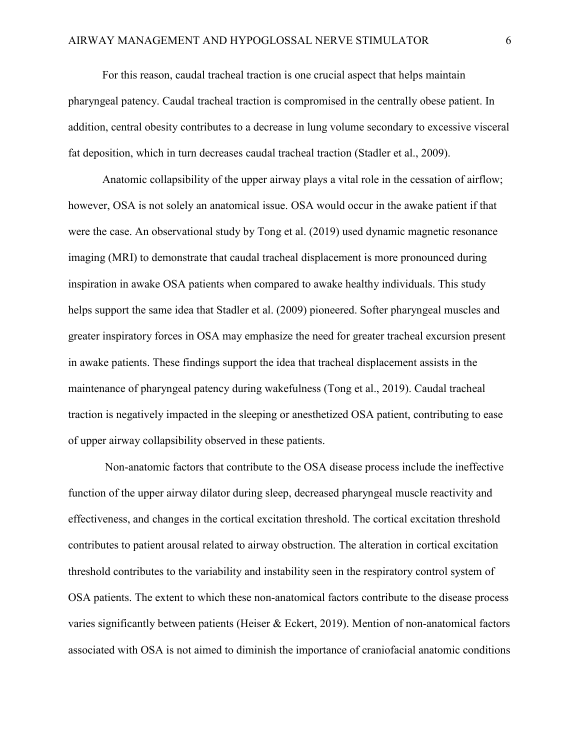For this reason, caudal tracheal traction is one crucial aspect that helps maintain pharyngeal patency. Caudal tracheal traction is compromised in the centrally obese patient. In addition, central obesity contributes to a decrease in lung volume secondary to excessive visceral fat deposition, which in turn decreases caudal tracheal traction (Stadler et al., 2009).

Anatomic collapsibility of the upper airway plays a vital role in the cessation of airflow; however, OSA is not solely an anatomical issue. OSA would occur in the awake patient if that were the case. An observational study by Tong et al. (2019) used dynamic magnetic resonance imaging (MRI) to demonstrate that caudal tracheal displacement is more pronounced during inspiration in awake OSA patients when compared to awake healthy individuals. This study helps support the same idea that Stadler et al. (2009) pioneered. Softer pharyngeal muscles and greater inspiratory forces in OSA may emphasize the need for greater tracheal excursion present in awake patients. These findings support the idea that tracheal displacement assists in the maintenance of pharyngeal patency during wakefulness (Tong et al., 2019). Caudal tracheal traction is negatively impacted in the sleeping or anesthetized OSA patient, contributing to ease of upper airway collapsibility observed in these patients.

Non-anatomic factors that contribute to the OSA disease process include the ineffective function of the upper airway dilator during sleep, decreased pharyngeal muscle reactivity and effectiveness, and changes in the cortical excitation threshold. The cortical excitation threshold contributes to patient arousal related to airway obstruction. The alteration in cortical excitation threshold contributes to the variability and instability seen in the respiratory control system of OSA patients. The extent to which these non-anatomical factors contribute to the disease process varies significantly between patients (Heiser & Eckert, 2019). Mention of non-anatomical factors associated with OSA is not aimed to diminish the importance of craniofacial anatomic conditions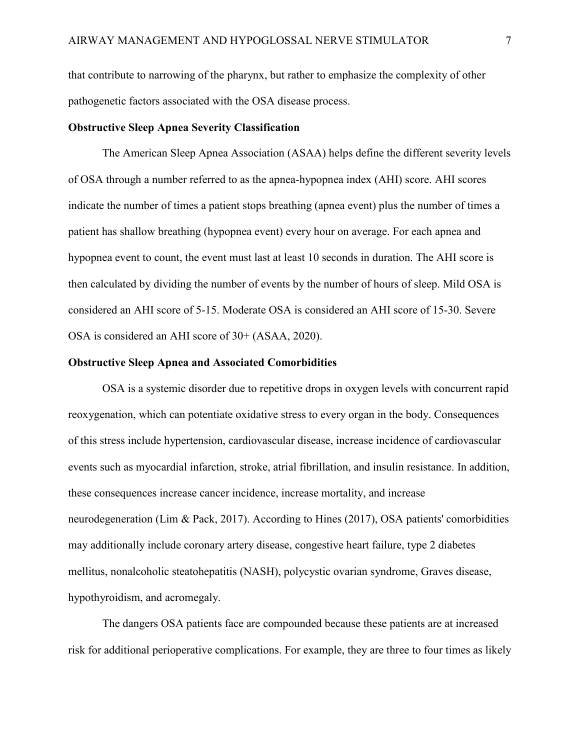that contribute to narrowing of the pharynx, but rather to emphasize the complexity of other pathogenetic factors associated with the OSA disease process.

#### **Obstructive Sleep Apnea Severity Classification**

The American Sleep Apnea Association (ASAA) helps define the different severity levels of OSA through a number referred to as the apnea-hypopnea index (AHI) score. AHI scores indicate the number of times a patient stops breathing (apnea event) plus the number of times a patient has shallow breathing (hypopnea event) every hour on average. For each apnea and hypopnea event to count, the event must last at least 10 seconds in duration. The AHI score is then calculated by dividing the number of events by the number of hours of sleep. Mild OSA is considered an AHI score of 5-15. Moderate OSA is considered an AHI score of 15-30. Severe OSA is considered an AHI score of 30+ (ASAA, 2020).

#### **Obstructive Sleep Apnea and Associated Comorbidities**

OSA is a systemic disorder due to repetitive drops in oxygen levels with concurrent rapid reoxygenation, which can potentiate oxidative stress to every organ in the body. Consequences of this stress include hypertension, cardiovascular disease, increase incidence of cardiovascular events such as myocardial infarction, stroke, atrial fibrillation, and insulin resistance. In addition, these consequences increase cancer incidence, increase mortality, and increase neurodegeneration (Lim & Pack, 2017). According to Hines (2017), OSA patients' comorbidities may additionally include coronary artery disease, congestive heart failure, type 2 diabetes mellitus, nonalcoholic steatohepatitis (NASH), polycystic ovarian syndrome, Graves disease, hypothyroidism, and acromegaly.

The dangers OSA patients face are compounded because these patients are at increased risk for additional perioperative complications. For example, they are three to four times as likely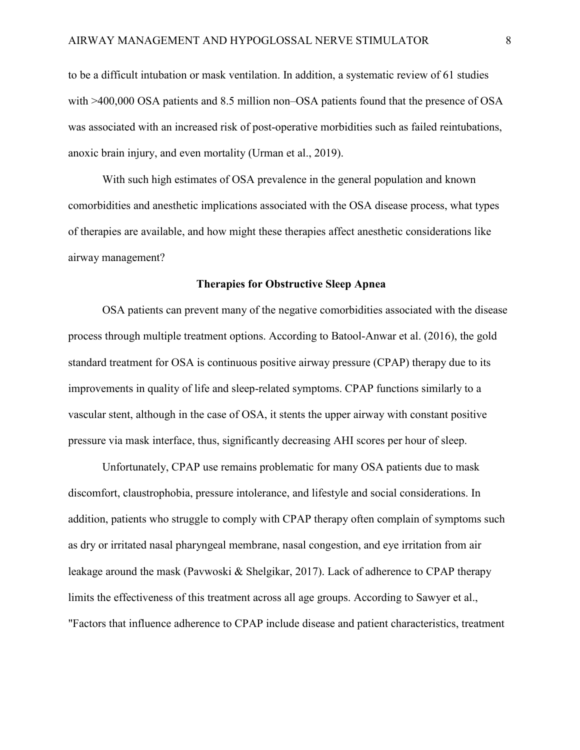to be a difficult intubation or mask ventilation. In addition, a systematic review of 61 studies with >400,000 OSA patients and 8.5 million non–OSA patients found that the presence of OSA was associated with an increased risk of post-operative morbidities such as failed reintubations, anoxic brain injury, and even mortality (Urman et al., 2019).

With such high estimates of OSA prevalence in the general population and known comorbidities and anesthetic implications associated with the OSA disease process, what types of therapies are available, and how might these therapies affect anesthetic considerations like airway management?

#### **Therapies for Obstructive Sleep Apnea**

OSA patients can prevent many of the negative comorbidities associated with the disease process through multiple treatment options. According to Batool-Anwar et al. (2016), the gold standard treatment for OSA is continuous positive airway pressure (CPAP) therapy due to its improvements in quality of life and sleep-related symptoms. CPAP functions similarly to a vascular stent, although in the case of OSA, it stents the upper airway with constant positive pressure via mask interface, thus, significantly decreasing AHI scores per hour of sleep.

Unfortunately, CPAP use remains problematic for many OSA patients due to mask discomfort, claustrophobia, pressure intolerance, and lifestyle and social considerations. In addition, patients who struggle to comply with CPAP therapy often complain of symptoms such as dry or irritated nasal pharyngeal membrane, nasal congestion, and eye irritation from air leakage around the mask (Pavwoski & Shelgikar, 2017). Lack of adherence to CPAP therapy limits the effectiveness of this treatment across all age groups. According to Sawyer et al., "Factors that influence adherence to CPAP include disease and patient characteristics, treatment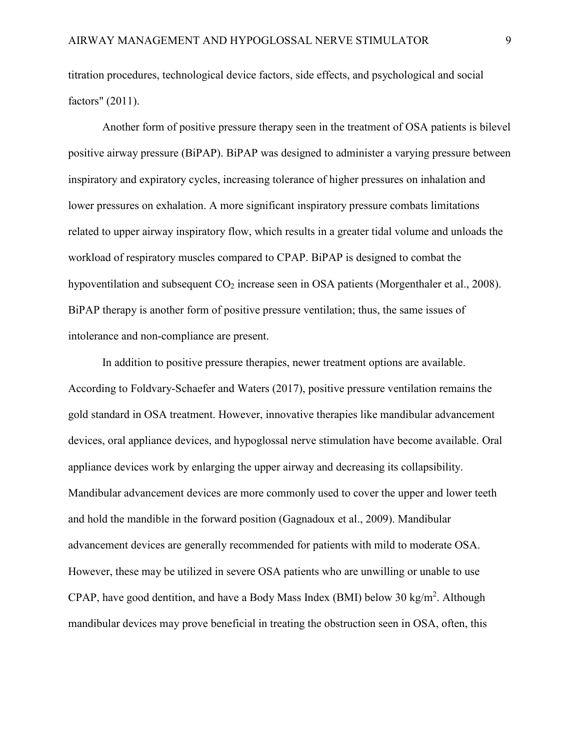titration procedures, technological device factors, side effects, and psychological and social factors" (2011).

Another form of positive pressure therapy seen in the treatment of OSA patients is bilevel positive airway pressure (BiPAP). BiPAP was designed to administer a varying pressure between inspiratory and expiratory cycles, increasing tolerance of higher pressures on inhalation and lower pressures on exhalation. A more significant inspiratory pressure combats limitations related to upper airway inspiratory flow, which results in a greater tidal volume and unloads the workload of respiratory muscles compared to CPAP. BiPAP is designed to combat the hypoventilation and subsequent  $CO<sub>2</sub>$  increase seen in OSA patients (Morgenthaler et al., 2008). BiPAP therapy is another form of positive pressure ventilation; thus, the same issues of intolerance and non-compliance are present.

In addition to positive pressure therapies, newer treatment options are available. According to Foldvary-Schaefer and Waters (2017), positive pressure ventilation remains the gold standard in OSA treatment. However, innovative therapies like mandibular advancement devices, oral appliance devices, and hypoglossal nerve stimulation have become available. Oral appliance devices work by enlarging the upper airway and decreasing its collapsibility. Mandibular advancement devices are more commonly used to cover the upper and lower teeth and hold the mandible in the forward position (Gagnadoux et al., 2009). Mandibular advancement devices are generally recommended for patients with mild to moderate OSA. However, these may be utilized in severe OSA patients who are unwilling or unable to use CPAP, have good dentition, and have a Body Mass Index (BMI) below 30 kg/m<sup>2</sup>. Although mandibular devices may prove beneficial in treating the obstruction seen in OSA, often, this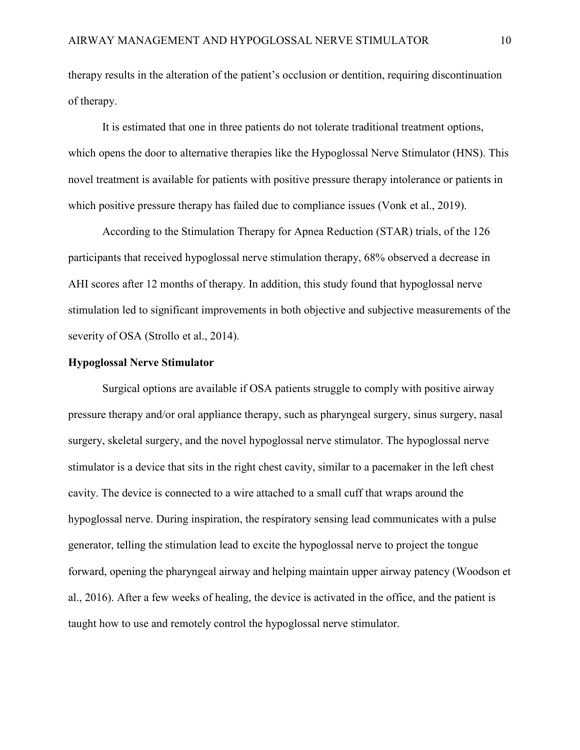therapy results in the alteration of the patient's occlusion or dentition, requiring discontinuation of therapy.

It is estimated that one in three patients do not tolerate traditional treatment options, which opens the door to alternative therapies like the Hypoglossal Nerve Stimulator (HNS). This novel treatment is available for patients with positive pressure therapy intolerance or patients in which positive pressure therapy has failed due to compliance issues (Vonk et al., 2019).

According to the Stimulation Therapy for Apnea Reduction (STAR) trials, of the 126 participants that received hypoglossal nerve stimulation therapy, 68% observed a decrease in AHI scores after 12 months of therapy. In addition, this study found that hypoglossal nerve stimulation led to significant improvements in both objective and subjective measurements of the severity of OSA (Strollo et al., 2014).

#### **Hypoglossal Nerve Stimulator**

Surgical options are available if OSA patients struggle to comply with positive airway pressure therapy and/or oral appliance therapy, such as pharyngeal surgery, sinus surgery, nasal surgery, skeletal surgery, and the novel hypoglossal nerve stimulator. The hypoglossal nerve stimulator is a device that sits in the right chest cavity, similar to a pacemaker in the left chest cavity. The device is connected to a wire attached to a small cuff that wraps around the hypoglossal nerve. During inspiration, the respiratory sensing lead communicates with a pulse generator, telling the stimulation lead to excite the hypoglossal nerve to project the tongue forward, opening the pharyngeal airway and helping maintain upper airway patency (Woodson et al., 2016). After a few weeks of healing, the device is activated in the office, and the patient is taught how to use and remotely control the hypoglossal nerve stimulator.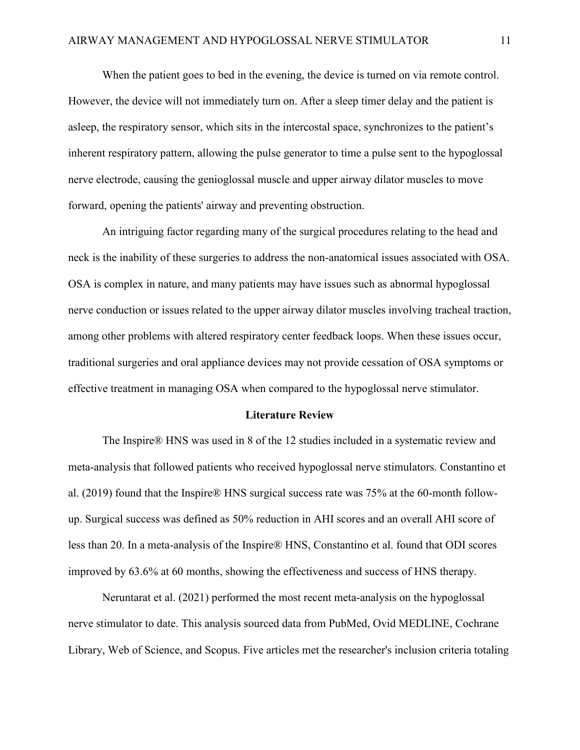When the patient goes to bed in the evening, the device is turned on via remote control. However, the device will not immediately turn on. After a sleep timer delay and the patient is asleep, the respiratory sensor, which sits in the intercostal space, synchronizes to the patient's inherent respiratory pattern, allowing the pulse generator to time a pulse sent to the hypoglossal nerve electrode, causing the genioglossal muscle and upper airway dilator muscles to move forward, opening the patients' airway and preventing obstruction.

An intriguing factor regarding many of the surgical procedures relating to the head and neck is the inability of these surgeries to address the non-anatomical issues associated with OSA. OSA is complex in nature, and many patients may have issues such as abnormal hypoglossal nerve conduction or issues related to the upper airway dilator muscles involving tracheal traction, among other problems with altered respiratory center feedback loops. When these issues occur, traditional surgeries and oral appliance devices may not provide cessation of OSA symptoms or effective treatment in managing OSA when compared to the hypoglossal nerve stimulator.

#### **Literature Review**

The Inspire® HNS was used in 8 of the 12 studies included in a systematic review and meta-analysis that followed patients who received hypoglossal nerve stimulators. Constantino et al. (2019) found that the Inspire® HNS surgical success rate was 75% at the 60-month followup. Surgical success was defined as 50% reduction in AHI scores and an overall AHI score of less than 20. In a meta-analysis of the Inspire® HNS, Constantino et al. found that ODI scores improved by 63.6% at 60 months, showing the effectiveness and success of HNS therapy.

Neruntarat et al. (2021) performed the most recent meta-analysis on the hypoglossal nerve stimulator to date. This analysis sourced data from PubMed, Ovid MEDLINE, Cochrane Library, Web of Science, and Scopus. Five articles met the researcher's inclusion criteria totaling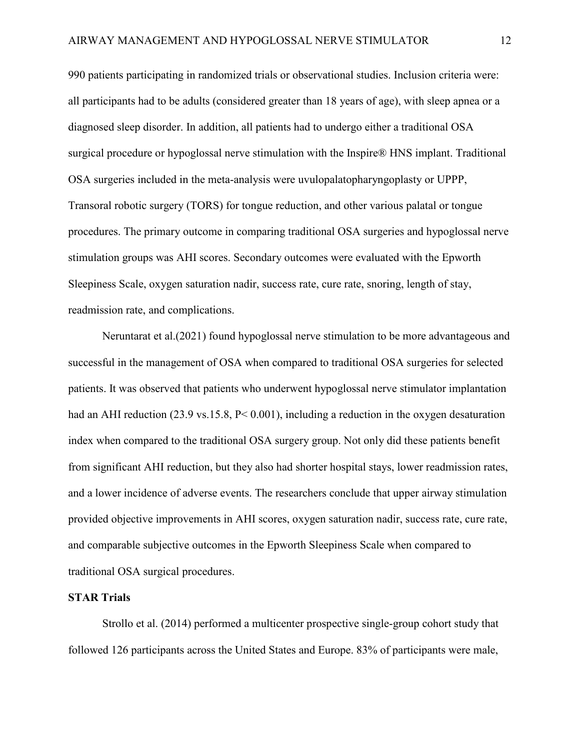990 patients participating in randomized trials or observational studies. Inclusion criteria were: all participants had to be adults (considered greater than 18 years of age), with sleep apnea or a diagnosed sleep disorder. In addition, all patients had to undergo either a traditional OSA surgical procedure or hypoglossal nerve stimulation with the Inspire® HNS implant. Traditional OSA surgeries included in the meta-analysis were uvulopalatopharyngoplasty or UPPP, Transoral robotic surgery (TORS) for tongue reduction, and other various palatal or tongue procedures. The primary outcome in comparing traditional OSA surgeries and hypoglossal nerve stimulation groups was AHI scores. Secondary outcomes were evaluated with the Epworth Sleepiness Scale, oxygen saturation nadir, success rate, cure rate, snoring, length of stay, readmission rate, and complications.

Neruntarat et al.(2021) found hypoglossal nerve stimulation to be more advantageous and successful in the management of OSA when compared to traditional OSA surgeries for selected patients. It was observed that patients who underwent hypoglossal nerve stimulator implantation had an AHI reduction (23.9 vs.15.8, P< 0.001), including a reduction in the oxygen desaturation index when compared to the traditional OSA surgery group. Not only did these patients benefit from significant AHI reduction, but they also had shorter hospital stays, lower readmission rates, and a lower incidence of adverse events. The researchers conclude that upper airway stimulation provided objective improvements in AHI scores, oxygen saturation nadir, success rate, cure rate, and comparable subjective outcomes in the Epworth Sleepiness Scale when compared to traditional OSA surgical procedures.

#### **STAR Trials**

Strollo et al. (2014) performed a multicenter prospective single-group cohort study that followed 126 participants across the United States and Europe. 83% of participants were male,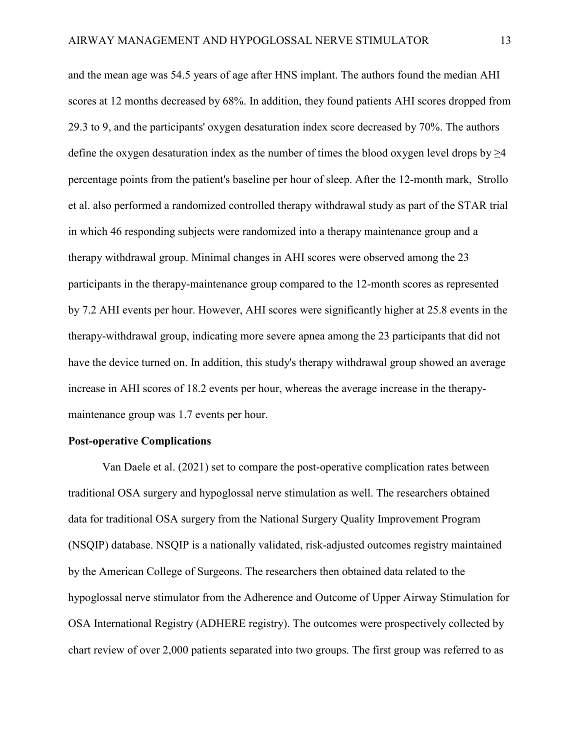and the mean age was 54.5 years of age after HNS implant. The authors found the median AHI scores at 12 months decreased by 68%. In addition, they found patients AHI scores dropped from 29.3 to 9, and the participants' oxygen desaturation index score decreased by 70%. The authors define the oxygen desaturation index as the number of times the blood oxygen level drops by  $\geq 4$ percentage points from the patient's baseline per hour of sleep. After the 12-month mark, Strollo et al. also performed a randomized controlled therapy withdrawal study as part of the STAR trial in which 46 responding subjects were randomized into a therapy maintenance group and a therapy withdrawal group. Minimal changes in AHI scores were observed among the 23 participants in the therapy-maintenance group compared to the 12-month scores as represented by 7.2 AHI events per hour. However, AHI scores were significantly higher at 25.8 events in the therapy-withdrawal group, indicating more severe apnea among the 23 participants that did not have the device turned on. In addition, this study's therapy withdrawal group showed an average increase in AHI scores of 18.2 events per hour, whereas the average increase in the therapymaintenance group was 1.7 events per hour.

#### **Post-operative Complications**

Van Daele et al. (2021) set to compare the post-operative complication rates between traditional OSA surgery and hypoglossal nerve stimulation as well. The researchers obtained data for traditional OSA surgery from the National Surgery Quality Improvement Program (NSQIP) database. NSQIP is a nationally validated, risk-adjusted outcomes registry maintained by the American College of Surgeons. The researchers then obtained data related to the hypoglossal nerve stimulator from the Adherence and Outcome of Upper Airway Stimulation for OSA International Registry (ADHERE registry). The outcomes were prospectively collected by chart review of over 2,000 patients separated into two groups. The first group was referred to as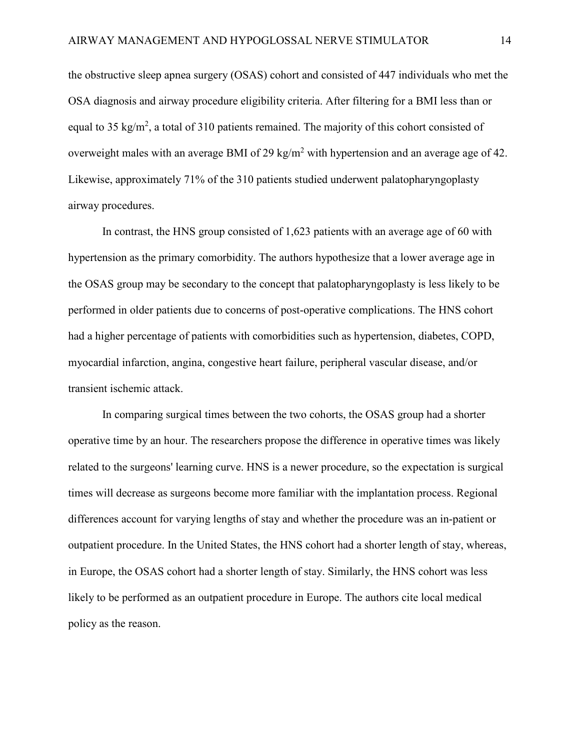the obstructive sleep apnea surgery (OSAS) cohort and consisted of 447 individuals who met the OSA diagnosis and airway procedure eligibility criteria. After filtering for a BMI less than or equal to 35 kg/m<sup>2</sup>, a total of 310 patients remained. The majority of this cohort consisted of overweight males with an average BMI of 29 kg/m<sup>2</sup> with hypertension and an average age of 42. Likewise, approximately 71% of the 310 patients studied underwent palatopharyngoplasty airway procedures.

In contrast, the HNS group consisted of 1,623 patients with an average age of 60 with hypertension as the primary comorbidity. The authors hypothesize that a lower average age in the OSAS group may be secondary to the concept that palatopharyngoplasty is less likely to be performed in older patients due to concerns of post-operative complications. The HNS cohort had a higher percentage of patients with comorbidities such as hypertension, diabetes, COPD, myocardial infarction, angina, congestive heart failure, peripheral vascular disease, and/or transient ischemic attack.

In comparing surgical times between the two cohorts, the OSAS group had a shorter operative time by an hour. The researchers propose the difference in operative times was likely related to the surgeons' learning curve. HNS is a newer procedure, so the expectation is surgical times will decrease as surgeons become more familiar with the implantation process. Regional differences account for varying lengths of stay and whether the procedure was an in-patient or outpatient procedure. In the United States, the HNS cohort had a shorter length of stay, whereas, in Europe, the OSAS cohort had a shorter length of stay. Similarly, the HNS cohort was less likely to be performed as an outpatient procedure in Europe. The authors cite local medical policy as the reason.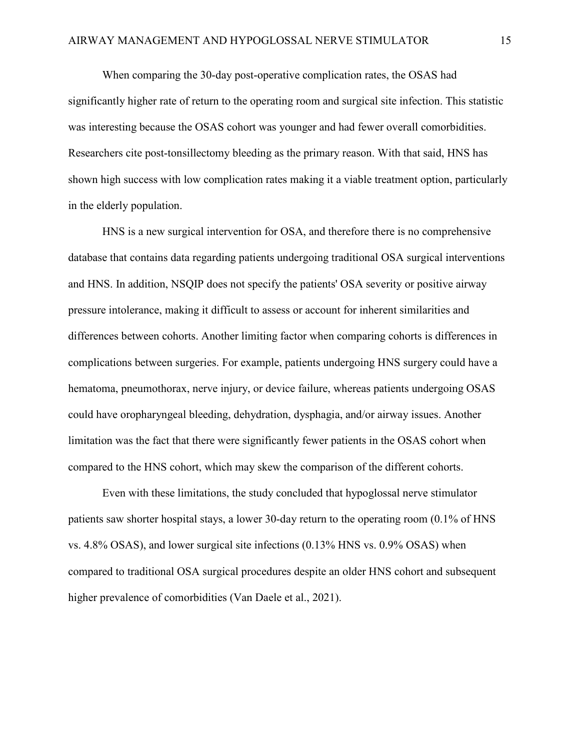When comparing the 30-day post-operative complication rates, the OSAS had significantly higher rate of return to the operating room and surgical site infection. This statistic was interesting because the OSAS cohort was younger and had fewer overall comorbidities. Researchers cite post-tonsillectomy bleeding as the primary reason. With that said, HNS has shown high success with low complication rates making it a viable treatment option, particularly in the elderly population.

HNS is a new surgical intervention for OSA, and therefore there is no comprehensive database that contains data regarding patients undergoing traditional OSA surgical interventions and HNS. In addition, NSQIP does not specify the patients' OSA severity or positive airway pressure intolerance, making it difficult to assess or account for inherent similarities and differences between cohorts. Another limiting factor when comparing cohorts is differences in complications between surgeries. For example, patients undergoing HNS surgery could have a hematoma, pneumothorax, nerve injury, or device failure, whereas patients undergoing OSAS could have oropharyngeal bleeding, dehydration, dysphagia, and/or airway issues. Another limitation was the fact that there were significantly fewer patients in the OSAS cohort when compared to the HNS cohort, which may skew the comparison of the different cohorts.

Even with these limitations, the study concluded that hypoglossal nerve stimulator patients saw shorter hospital stays, a lower 30-day return to the operating room (0.1% of HNS vs. 4.8% OSAS), and lower surgical site infections (0.13% HNS vs. 0.9% OSAS) when compared to traditional OSA surgical procedures despite an older HNS cohort and subsequent higher prevalence of comorbidities (Van Daele et al., 2021).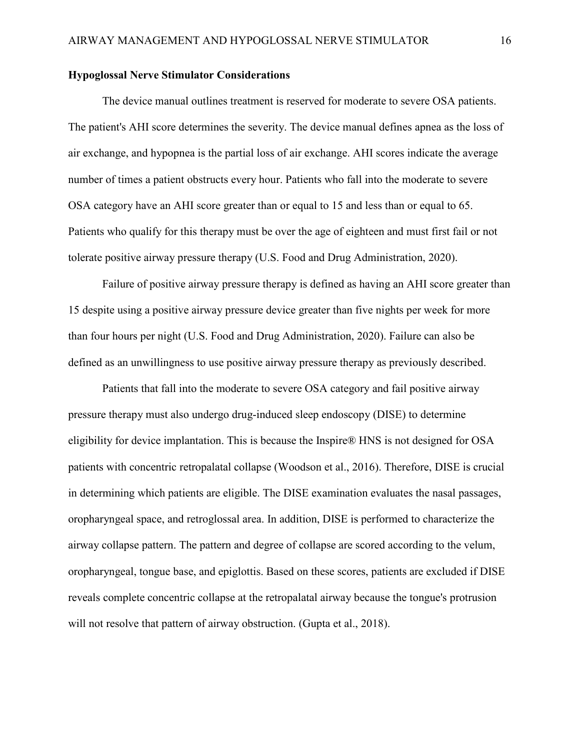#### **Hypoglossal Nerve Stimulator Considerations**

The device manual outlines treatment is reserved for moderate to severe OSA patients. The patient's AHI score determines the severity. The device manual defines apnea as the loss of air exchange, and hypopnea is the partial loss of air exchange. AHI scores indicate the average number of times a patient obstructs every hour. Patients who fall into the moderate to severe OSA category have an AHI score greater than or equal to 15 and less than or equal to 65. Patients who qualify for this therapy must be over the age of eighteen and must first fail or not tolerate positive airway pressure therapy (U.S. Food and Drug Administration, 2020).

Failure of positive airway pressure therapy is defined as having an AHI score greater than 15 despite using a positive airway pressure device greater than five nights per week for more than four hours per night (U.S. Food and Drug Administration, 2020). Failure can also be defined as an unwillingness to use positive airway pressure therapy as previously described.

Patients that fall into the moderate to severe OSA category and fail positive airway pressure therapy must also undergo drug-induced sleep endoscopy (DISE) to determine eligibility for device implantation. This is because the Inspire® HNS is not designed for OSA patients with concentric retropalatal collapse (Woodson et al., 2016). Therefore, DISE is crucial in determining which patients are eligible. The DISE examination evaluates the nasal passages, oropharyngeal space, and retroglossal area. In addition, DISE is performed to characterize the airway collapse pattern. The pattern and degree of collapse are scored according to the velum, oropharyngeal, tongue base, and epiglottis. Based on these scores, patients are excluded if DISE reveals complete concentric collapse at the retropalatal airway because the tongue's protrusion will not resolve that pattern of airway obstruction. (Gupta et al., 2018).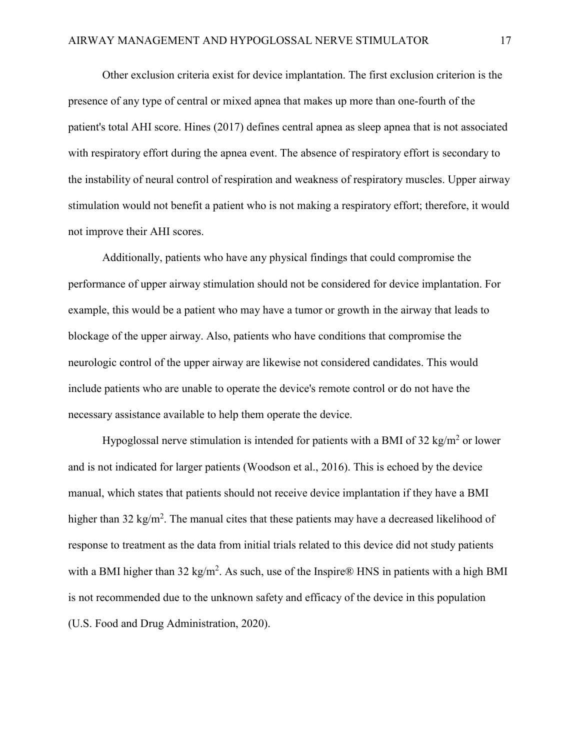Other exclusion criteria exist for device implantation. The first exclusion criterion is the presence of any type of central or mixed apnea that makes up more than one-fourth of the patient's total AHI score. Hines (2017) defines central apnea as sleep apnea that is not associated with respiratory effort during the apnea event. The absence of respiratory effort is secondary to the instability of neural control of respiration and weakness of respiratory muscles. Upper airway stimulation would not benefit a patient who is not making a respiratory effort; therefore, it would not improve their AHI scores.

Additionally, patients who have any physical findings that could compromise the performance of upper airway stimulation should not be considered for device implantation. For example, this would be a patient who may have a tumor or growth in the airway that leads to blockage of the upper airway. Also, patients who have conditions that compromise the neurologic control of the upper airway are likewise not considered candidates. This would include patients who are unable to operate the device's remote control or do not have the necessary assistance available to help them operate the device.

Hypoglossal nerve stimulation is intended for patients with a BMI of 32 kg/m<sup>2</sup> or lower and is not indicated for larger patients (Woodson et al., 2016). This is echoed by the device manual, which states that patients should not receive device implantation if they have a BMI higher than 32 kg/m<sup>2</sup>. The manual cites that these patients may have a decreased likelihood of response to treatment as the data from initial trials related to this device did not study patients with a BMI higher than 32 kg/m<sup>2</sup>. As such, use of the Inspire® HNS in patients with a high BMI is not recommended due to the unknown safety and efficacy of the device in this population (U.S. Food and Drug Administration, 2020).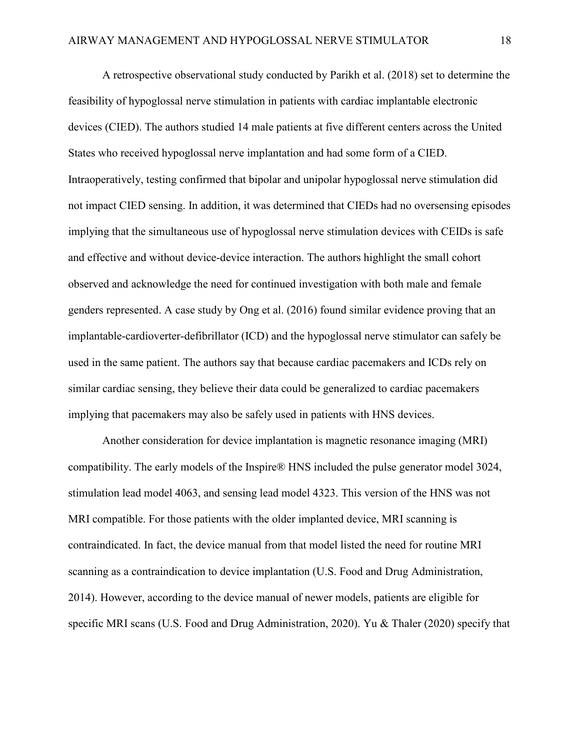A retrospective observational study conducted by Parikh et al. (2018) set to determine the feasibility of hypoglossal nerve stimulation in patients with cardiac implantable electronic devices (CIED). The authors studied 14 male patients at five different centers across the United States who received hypoglossal nerve implantation and had some form of a CIED. Intraoperatively, testing confirmed that bipolar and unipolar hypoglossal nerve stimulation did not impact CIED sensing. In addition, it was determined that CIEDs had no oversensing episodes implying that the simultaneous use of hypoglossal nerve stimulation devices with CEIDs is safe and effective and without device-device interaction. The authors highlight the small cohort observed and acknowledge the need for continued investigation with both male and female genders represented. A case study by Ong et al. (2016) found similar evidence proving that an implantable-cardioverter-defibrillator (ICD) and the hypoglossal nerve stimulator can safely be used in the same patient. The authors say that because cardiac pacemakers and ICDs rely on similar cardiac sensing, they believe their data could be generalized to cardiac pacemakers implying that pacemakers may also be safely used in patients with HNS devices.

Another consideration for device implantation is magnetic resonance imaging (MRI) compatibility. The early models of the Inspire® HNS included the pulse generator model 3024, stimulation lead model 4063, and sensing lead model 4323. This version of the HNS was not MRI compatible. For those patients with the older implanted device, MRI scanning is contraindicated. In fact, the device manual from that model listed the need for routine MRI scanning as a contraindication to device implantation (U.S. Food and Drug Administration, 2014). However, according to the device manual of newer models, patients are eligible for specific MRI scans (U.S. Food and Drug Administration, 2020). Yu & Thaler (2020) specify that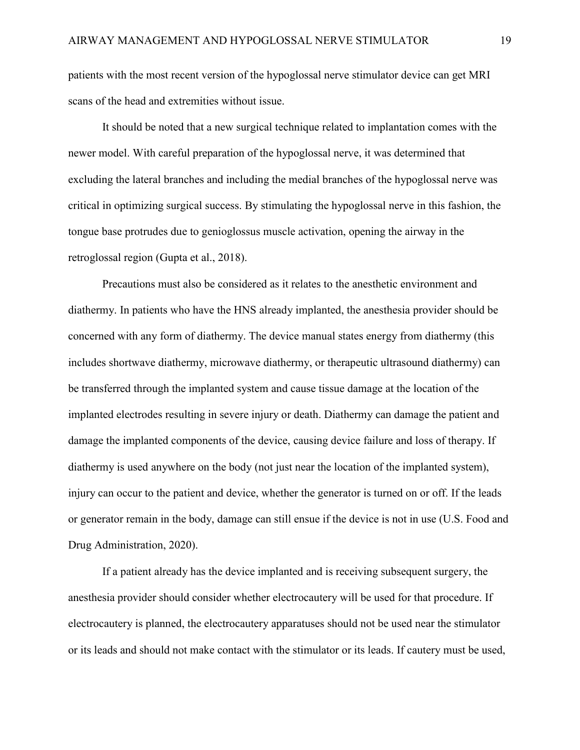patients with the most recent version of the hypoglossal nerve stimulator device can get MRI scans of the head and extremities without issue.

It should be noted that a new surgical technique related to implantation comes with the newer model. With careful preparation of the hypoglossal nerve, it was determined that excluding the lateral branches and including the medial branches of the hypoglossal nerve was critical in optimizing surgical success. By stimulating the hypoglossal nerve in this fashion, the tongue base protrudes due to genioglossus muscle activation, opening the airway in the retroglossal region (Gupta et al., 2018).

Precautions must also be considered as it relates to the anesthetic environment and diathermy. In patients who have the HNS already implanted, the anesthesia provider should be concerned with any form of diathermy. The device manual states energy from diathermy (this includes shortwave diathermy, microwave diathermy, or therapeutic ultrasound diathermy) can be transferred through the implanted system and cause tissue damage at the location of the implanted electrodes resulting in severe injury or death. Diathermy can damage the patient and damage the implanted components of the device, causing device failure and loss of therapy. If diathermy is used anywhere on the body (not just near the location of the implanted system), injury can occur to the patient and device, whether the generator is turned on or off. If the leads or generator remain in the body, damage can still ensue if the device is not in use (U.S. Food and Drug Administration, 2020).

If a patient already has the device implanted and is receiving subsequent surgery, the anesthesia provider should consider whether electrocautery will be used for that procedure. If electrocautery is planned, the electrocautery apparatuses should not be used near the stimulator or its leads and should not make contact with the stimulator or its leads. If cautery must be used,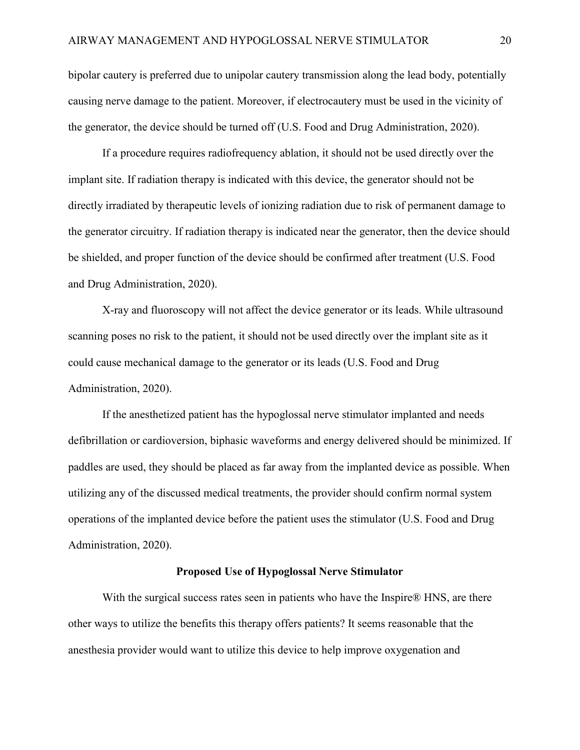bipolar cautery is preferred due to unipolar cautery transmission along the lead body, potentially causing nerve damage to the patient. Moreover, if electrocautery must be used in the vicinity of the generator, the device should be turned off (U.S. Food and Drug Administration, 2020).

If a procedure requires radiofrequency ablation, it should not be used directly over the implant site. If radiation therapy is indicated with this device, the generator should not be directly irradiated by therapeutic levels of ionizing radiation due to risk of permanent damage to the generator circuitry. If radiation therapy is indicated near the generator, then the device should be shielded, and proper function of the device should be confirmed after treatment (U.S. Food and Drug Administration, 2020).

X-ray and fluoroscopy will not affect the device generator or its leads. While ultrasound scanning poses no risk to the patient, it should not be used directly over the implant site as it could cause mechanical damage to the generator or its leads (U.S. Food and Drug Administration, 2020).

If the anesthetized patient has the hypoglossal nerve stimulator implanted and needs defibrillation or cardioversion, biphasic waveforms and energy delivered should be minimized. If paddles are used, they should be placed as far away from the implanted device as possible. When utilizing any of the discussed medical treatments, the provider should confirm normal system operations of the implanted device before the patient uses the stimulator (U.S. Food and Drug Administration, 2020).

#### **Proposed Use of Hypoglossal Nerve Stimulator**

With the surgical success rates seen in patients who have the Inspire® HNS, are there other ways to utilize the benefits this therapy offers patients? It seems reasonable that the anesthesia provider would want to utilize this device to help improve oxygenation and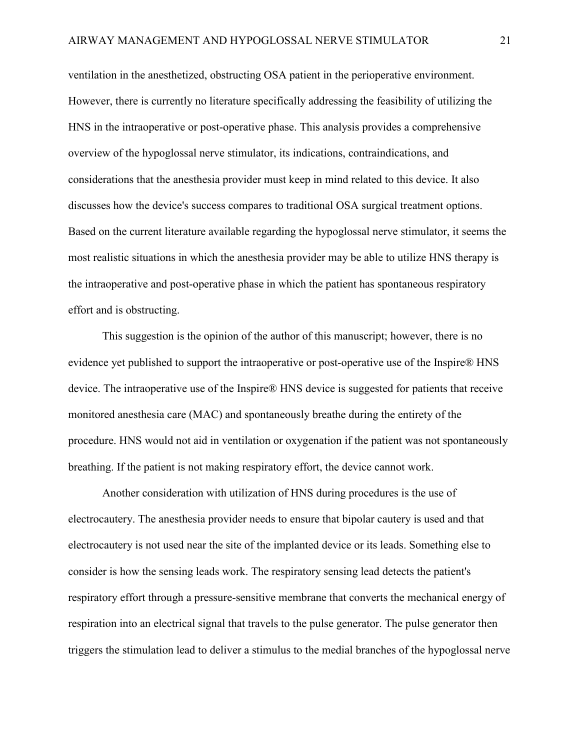ventilation in the anesthetized, obstructing OSA patient in the perioperative environment. However, there is currently no literature specifically addressing the feasibility of utilizing the HNS in the intraoperative or post-operative phase. This analysis provides a comprehensive overview of the hypoglossal nerve stimulator, its indications, contraindications, and considerations that the anesthesia provider must keep in mind related to this device. It also discusses how the device's success compares to traditional OSA surgical treatment options. Based on the current literature available regarding the hypoglossal nerve stimulator, it seems the most realistic situations in which the anesthesia provider may be able to utilize HNS therapy is the intraoperative and post-operative phase in which the patient has spontaneous respiratory effort and is obstructing.

This suggestion is the opinion of the author of this manuscript; however, there is no evidence yet published to support the intraoperative or post-operative use of the Inspire® HNS device. The intraoperative use of the Inspire® HNS device is suggested for patients that receive monitored anesthesia care (MAC) and spontaneously breathe during the entirety of the procedure. HNS would not aid in ventilation or oxygenation if the patient was not spontaneously breathing. If the patient is not making respiratory effort, the device cannot work.

Another consideration with utilization of HNS during procedures is the use of electrocautery. The anesthesia provider needs to ensure that bipolar cautery is used and that electrocautery is not used near the site of the implanted device or its leads. Something else to consider is how the sensing leads work. The respiratory sensing lead detects the patient's respiratory effort through a pressure-sensitive membrane that converts the mechanical energy of respiration into an electrical signal that travels to the pulse generator. The pulse generator then triggers the stimulation lead to deliver a stimulus to the medial branches of the hypoglossal nerve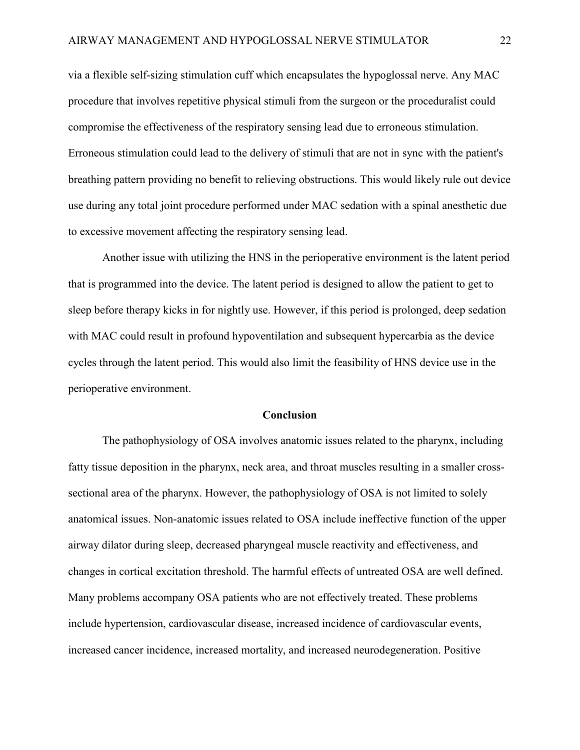via a flexible self-sizing stimulation cuff which encapsulates the hypoglossal nerve. Any MAC procedure that involves repetitive physical stimuli from the surgeon or the proceduralist could compromise the effectiveness of the respiratory sensing lead due to erroneous stimulation. Erroneous stimulation could lead to the delivery of stimuli that are not in sync with the patient's breathing pattern providing no benefit to relieving obstructions. This would likely rule out device use during any total joint procedure performed under MAC sedation with a spinal anesthetic due to excessive movement affecting the respiratory sensing lead.

Another issue with utilizing the HNS in the perioperative environment is the latent period that is programmed into the device. The latent period is designed to allow the patient to get to sleep before therapy kicks in for nightly use. However, if this period is prolonged, deep sedation with MAC could result in profound hypoventilation and subsequent hypercarbia as the device cycles through the latent period. This would also limit the feasibility of HNS device use in the perioperative environment.

#### **Conclusion**

The pathophysiology of OSA involves anatomic issues related to the pharynx, including fatty tissue deposition in the pharynx, neck area, and throat muscles resulting in a smaller crosssectional area of the pharynx. However, the pathophysiology of OSA is not limited to solely anatomical issues. Non-anatomic issues related to OSA include ineffective function of the upper airway dilator during sleep, decreased pharyngeal muscle reactivity and effectiveness, and changes in cortical excitation threshold. The harmful effects of untreated OSA are well defined. Many problems accompany OSA patients who are not effectively treated. These problems include hypertension, cardiovascular disease, increased incidence of cardiovascular events, increased cancer incidence, increased mortality, and increased neurodegeneration. Positive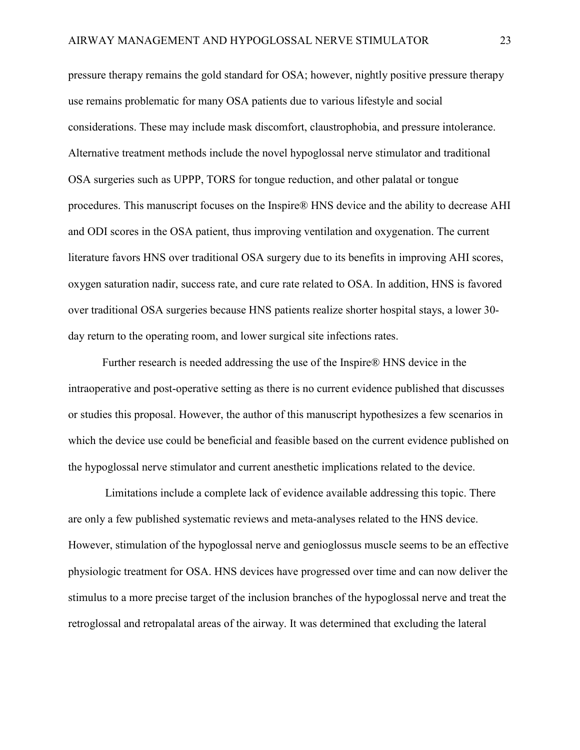pressure therapy remains the gold standard for OSA; however, nightly positive pressure therapy use remains problematic for many OSA patients due to various lifestyle and social considerations. These may include mask discomfort, claustrophobia, and pressure intolerance. Alternative treatment methods include the novel hypoglossal nerve stimulator and traditional OSA surgeries such as UPPP, TORS for tongue reduction, and other palatal or tongue procedures. This manuscript focuses on the Inspire® HNS device and the ability to decrease AHI and ODI scores in the OSA patient, thus improving ventilation and oxygenation. The current literature favors HNS over traditional OSA surgery due to its benefits in improving AHI scores, oxygen saturation nadir, success rate, and cure rate related to OSA. In addition, HNS is favored over traditional OSA surgeries because HNS patients realize shorter hospital stays, a lower 30 day return to the operating room, and lower surgical site infections rates.

Further research is needed addressing the use of the Inspire® HNS device in the intraoperative and post-operative setting as there is no current evidence published that discusses or studies this proposal. However, the author of this manuscript hypothesizes a few scenarios in which the device use could be beneficial and feasible based on the current evidence published on the hypoglossal nerve stimulator and current anesthetic implications related to the device.

Limitations include a complete lack of evidence available addressing this topic. There are only a few published systematic reviews and meta-analyses related to the HNS device. However, stimulation of the hypoglossal nerve and genioglossus muscle seems to be an effective physiologic treatment for OSA. HNS devices have progressed over time and can now deliver the stimulus to a more precise target of the inclusion branches of the hypoglossal nerve and treat the retroglossal and retropalatal areas of the airway. It was determined that excluding the lateral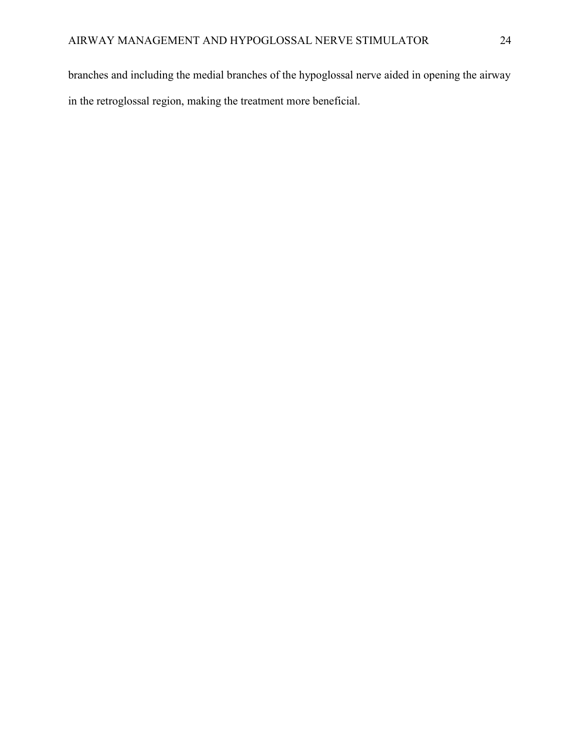branches and including the medial branches of the hypoglossal nerve aided in opening the airway in the retroglossal region, making the treatment more beneficial.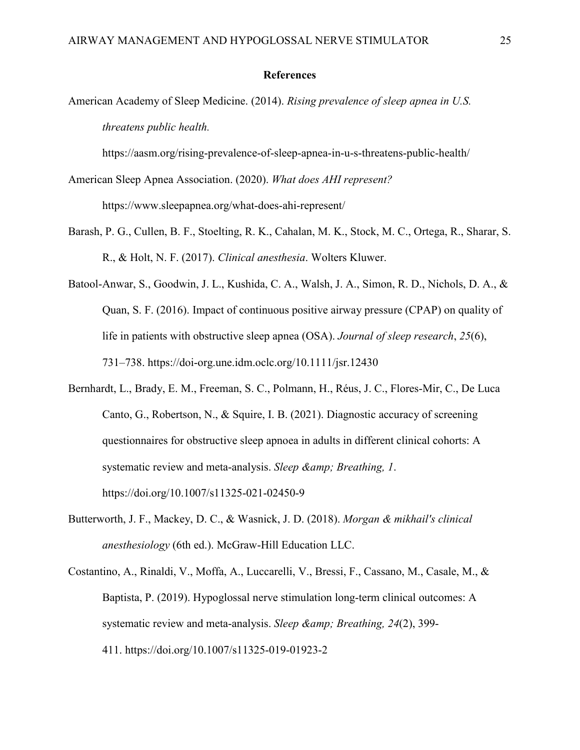#### **References**

American Academy of Sleep Medicine. (2014). *Rising prevalence of sleep apnea in U.S. threatens public health.*

https://aasm.org/rising-prevalence-of-sleep-apnea-in-u-s-threatens-public-health/

- American Sleep Apnea Association. (2020). *What does AHI represent?* https://www.sleepapnea.org/what-does-ahi-represent/
- Barash, P. G., Cullen, B. F., Stoelting, R. K., Cahalan, M. K., Stock, M. C., Ortega, R., Sharar, S. R., & Holt, N. F. (2017). *Clinical anesthesia*. Wolters Kluwer.
- Batool-Anwar, S., Goodwin, J. L., Kushida, C. A., Walsh, J. A., Simon, R. D., Nichols, D. A., & Quan, S. F. (2016). Impact of continuous positive airway pressure (CPAP) on quality of life in patients with obstructive sleep apnea (OSA). *Journal of sleep research*, *25*(6), 731–738. https://doi-org.une.idm.oclc.org/10.1111/jsr.12430
- Bernhardt, L., Brady, E. M., Freeman, S. C., Polmann, H., Réus, J. C., Flores-Mir, C., De Luca Canto, G., Robertson, N., & Squire, I. B. (2021). Diagnostic accuracy of screening questionnaires for obstructive sleep apnoea in adults in different clinical cohorts: A systematic review and meta-analysis. *Sleep & amp*; *Breathing*, 1. https://doi.org/10.1007/s11325-021-02450-9
- Butterworth, J. F., Mackey, D. C., & Wasnick, J. D. (2018). *Morgan & mikhail's clinical anesthesiology* (6th ed.). McGraw-Hill Education LLC.
- Costantino, A., Rinaldi, V., Moffa, A., Luccarelli, V., Bressi, F., Cassano, M., Casale, M., & Baptista, P. (2019). Hypoglossal nerve stimulation long-term clinical outcomes: A systematic review and meta-analysis. *Sleep & amp*; *Breathing*, 24(2), 399-411. https://doi.org/10.1007/s11325-019-01923-2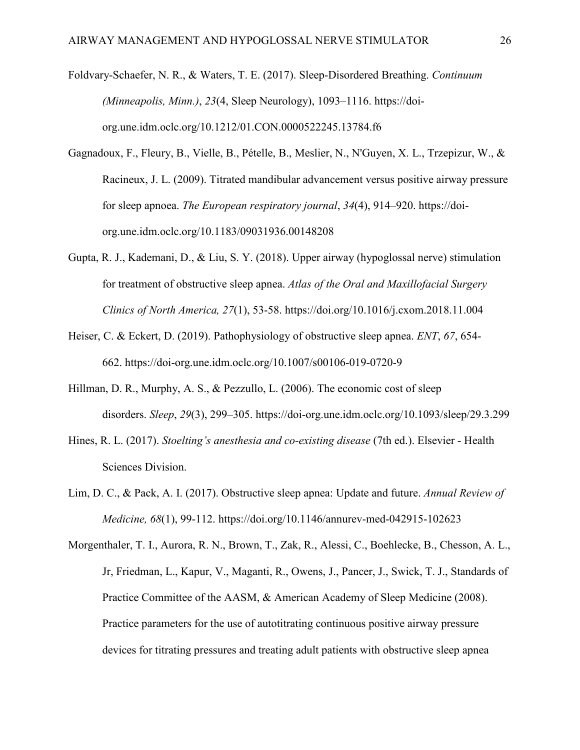- Foldvary-Schaefer, N. R., & Waters, T. E. (2017). Sleep-Disordered Breathing. *Continuum (Minneapolis, Minn.)*, *23*(4, Sleep Neurology), 1093–1116. https://doiorg.une.idm.oclc.org/10.1212/01.CON.0000522245.13784.f6
- Gagnadoux, F., Fleury, B., Vielle, B., Pételle, B., Meslier, N., N'Guyen, X. L., Trzepizur, W., & Racineux, J. L. (2009). Titrated mandibular advancement versus positive airway pressure for sleep apnoea. *The European respiratory journal*, *34*(4), 914–920. https://doiorg.une.idm.oclc.org/10.1183/09031936.00148208
- Gupta, R. J., Kademani, D., & Liu, S. Y. (2018). Upper airway (hypoglossal nerve) stimulation for treatment of obstructive sleep apnea. *Atlas of the Oral and Maxillofacial Surgery Clinics of North America, 27*(1), 53-58. https://doi.org/10.1016/j.cxom.2018.11.004
- Heiser, C. & Eckert, D. (2019). Pathophysiology of obstructive sleep apnea. *ENT*, *67*, 654- 662. https://doi-org.une.idm.oclc.org/10.1007/s00106-019-0720-9
- Hillman, D. R., Murphy, A. S., & Pezzullo, L. (2006). The economic cost of sleep disorders. *Sleep*, *29*(3), 299–305. https://doi-org.une.idm.oclc.org/10.1093/sleep/29.3.299
- Hines, R. L. (2017). *Stoelting's anesthesia and co-existing disease* (7th ed.). Elsevier Health Sciences Division.
- Lim, D. C., & Pack, A. I. (2017). Obstructive sleep apnea: Update and future. *Annual Review of Medicine, 68*(1), 99-112. https://doi.org/10.1146/annurev-med-042915-102623

Morgenthaler, T. I., Aurora, R. N., Brown, T., Zak, R., Alessi, C., Boehlecke, B., Chesson, A. L., Jr, Friedman, L., Kapur, V., Maganti, R., Owens, J., Pancer, J., Swick, T. J., Standards of Practice Committee of the AASM, & American Academy of Sleep Medicine (2008). Practice parameters for the use of autotitrating continuous positive airway pressure devices for titrating pressures and treating adult patients with obstructive sleep apnea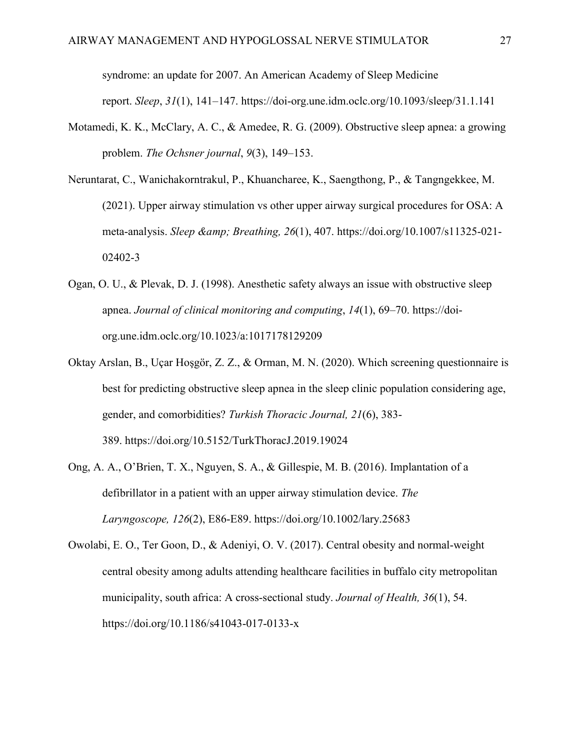syndrome: an update for 2007. An American Academy of Sleep Medicine report. *Sleep*, *31*(1), 141–147. https://doi-org.une.idm.oclc.org/10.1093/sleep/31.1.141

- Motamedi, K. K., McClary, A. C., & Amedee, R. G. (2009). Obstructive sleep apnea: a growing problem. *The Ochsner journal*, *9*(3), 149–153.
- Neruntarat, C., Wanichakorntrakul, P., Khuancharee, K., Saengthong, P., & Tangngekkee, M. (2021). Upper airway stimulation vs other upper airway surgical procedures for OSA: A meta-analysis. *Sleep & amp; Breathing, 26*(1), 407. https://doi.org/10.1007/s11325-021-02402-3
- Ogan, O. U., & Plevak, D. J. (1998). Anesthetic safety always an issue with obstructive sleep apnea. *Journal of clinical monitoring and computing*, *14*(1), 69–70. https://doiorg.une.idm.oclc.org/10.1023/a:1017178129209
- Oktay Arslan, B., Uçar Hoşgör, Z. Z., & Orman, M. N. (2020). Which screening questionnaire is best for predicting obstructive sleep apnea in the sleep clinic population considering age, gender, and comorbidities? *Turkish Thoracic Journal, 21*(6), 383- 389. https://doi.org/10.5152/TurkThoracJ.2019.19024
- Ong, A. A., O'Brien, T. X., Nguyen, S. A., & Gillespie, M. B. (2016). Implantation of a defibrillator in a patient with an upper airway stimulation device. *The Laryngoscope, 126*(2), E86-E89. https://doi.org/10.1002/lary.25683
- Owolabi, E. O., Ter Goon, D., & Adeniyi, O. V. (2017). Central obesity and normal-weight central obesity among adults attending healthcare facilities in buffalo city metropolitan municipality, south africa: A cross-sectional study. *Journal of Health, 36*(1), 54. https://doi.org/10.1186/s41043-017-0133-x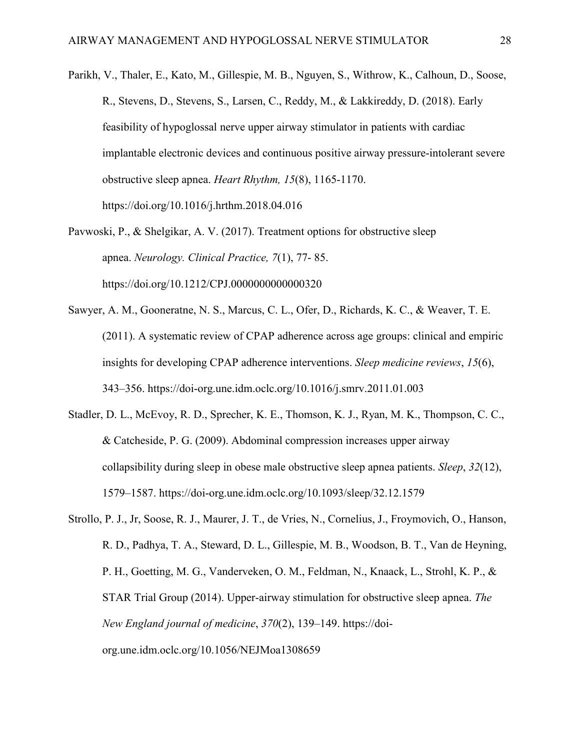- Parikh, V., Thaler, E., Kato, M., Gillespie, M. B., Nguyen, S., Withrow, K., Calhoun, D., Soose, R., Stevens, D., Stevens, S., Larsen, C., Reddy, M., & Lakkireddy, D. (2018). Early feasibility of hypoglossal nerve upper airway stimulator in patients with cardiac implantable electronic devices and continuous positive airway pressure-intolerant severe obstructive sleep apnea. *Heart Rhythm, 15*(8), 1165-1170. https://doi.org/10.1016/j.hrthm.2018.04.016
- Pavwoski, P., & Shelgikar, A. V. (2017). Treatment options for obstructive sleep apnea. *Neurology. Clinical Practice, 7*(1), 77- 85. https://doi.org/10.1212/CPJ.0000000000000320
- Sawyer, A. M., Gooneratne, N. S., Marcus, C. L., Ofer, D., Richards, K. C., & Weaver, T. E. (2011). A systematic review of CPAP adherence across age groups: clinical and empiric insights for developing CPAP adherence interventions. *Sleep medicine reviews*, *15*(6), 343–356. https://doi-org.une.idm.oclc.org/10.1016/j.smrv.2011.01.003
- Stadler, D. L., McEvoy, R. D., Sprecher, K. E., Thomson, K. J., Ryan, M. K., Thompson, C. C., & Catcheside, P. G. (2009). Abdominal compression increases upper airway collapsibility during sleep in obese male obstructive sleep apnea patients. *Sleep*, *32*(12), 1579–1587. https://doi-org.une.idm.oclc.org/10.1093/sleep/32.12.1579
- Strollo, P. J., Jr, Soose, R. J., Maurer, J. T., de Vries, N., Cornelius, J., Froymovich, O., Hanson, R. D., Padhya, T. A., Steward, D. L., Gillespie, M. B., Woodson, B. T., Van de Heyning, P. H., Goetting, M. G., Vanderveken, O. M., Feldman, N., Knaack, L., Strohl, K. P., & STAR Trial Group (2014). Upper-airway stimulation for obstructive sleep apnea. *The New England journal of medicine*, *370*(2), 139–149. https://doiorg.une.idm.oclc.org/10.1056/NEJMoa1308659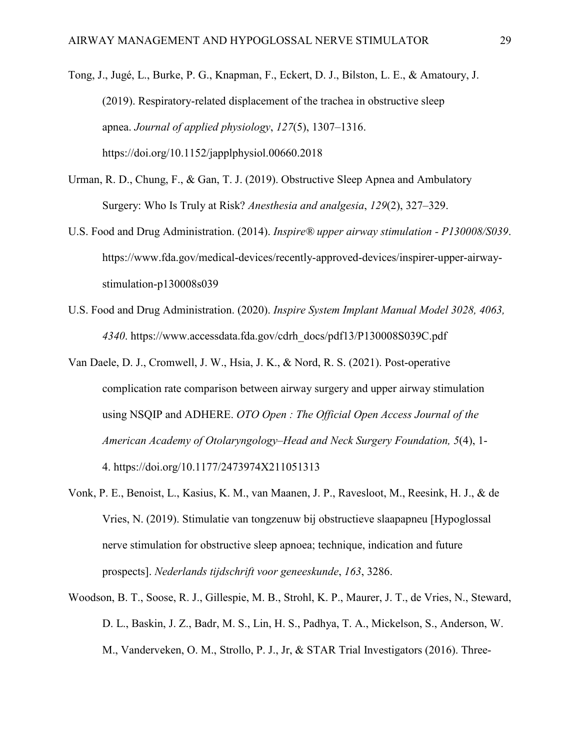Tong, J., Jugé, L., Burke, P. G., Knapman, F., Eckert, D. J., Bilston, L. E., & Amatoury, J. (2019). Respiratory-related displacement of the trachea in obstructive sleep apnea. *Journal of applied physiology*, *127*(5), 1307–1316. https://doi.org/10.1152/japplphysiol.00660.2018

- Urman, R. D., Chung, F., & Gan, T. J. (2019). Obstructive Sleep Apnea and Ambulatory Surgery: Who Is Truly at Risk? *Anesthesia and analgesia*, *129*(2), 327–329.
- U.S. Food and Drug Administration. (2014). *Inspire® upper airway stimulation - P130008/S039*. https://www.fda.gov/medical-devices/recently-approved-devices/inspirer-upper-airwaystimulation-p130008s039
- U.S. Food and Drug Administration. (2020). *Inspire System Implant Manual Model 3028, 4063, 4340*. https://www.accessdata.fda.gov/cdrh\_docs/pdf13/P130008S039C.pdf
- Van Daele, D. J., Cromwell, J. W., Hsia, J. K., & Nord, R. S. (2021). Post-operative complication rate comparison between airway surgery and upper airway stimulation using NSQIP and ADHERE. *OTO Open : The Official Open Access Journal of the American Academy of Otolaryngology–Head and Neck Surgery Foundation, 5*(4), 1- 4. https://doi.org/10.1177/2473974X211051313
- Vonk, P. E., Benoist, L., Kasius, K. M., van Maanen, J. P., Ravesloot, M., Reesink, H. J., & de Vries, N. (2019). Stimulatie van tongzenuw bij obstructieve slaapapneu [Hypoglossal nerve stimulation for obstructive sleep apnoea; technique, indication and future prospects]. *Nederlands tijdschrift voor geneeskunde*, *163*, 3286.
- Woodson, B. T., Soose, R. J., Gillespie, M. B., Strohl, K. P., Maurer, J. T., de Vries, N., Steward, D. L., Baskin, J. Z., Badr, M. S., Lin, H. S., Padhya, T. A., Mickelson, S., Anderson, W. M., Vanderveken, O. M., Strollo, P. J., Jr, & STAR Trial Investigators (2016). Three-